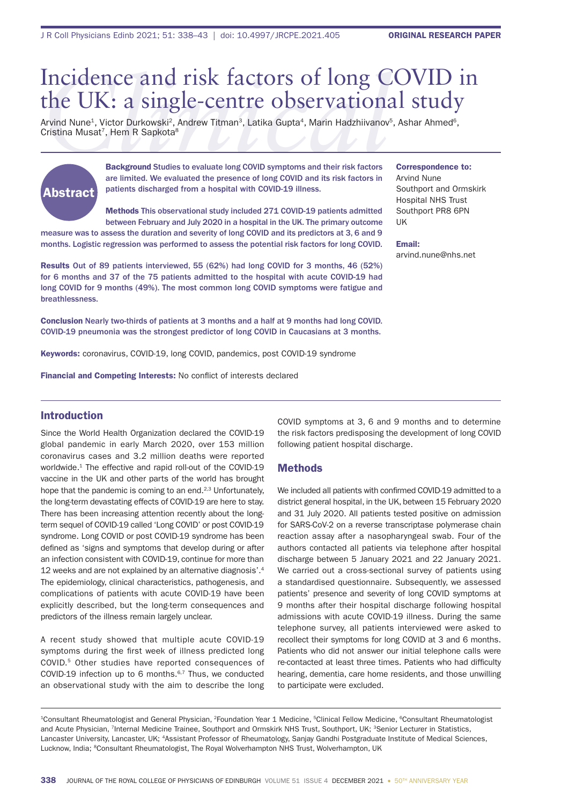# Incidence and risk factors of long C<br>the UK: a single-centre observation:<br>Arvind Nune<sup>1</sup>, Victor Durkowski<sup>2</sup>, Andrew Titman<sup>3</sup>, Latika Gupta<sup>4</sup>, Marin Hadzhiivanov<sup>.</sup><br>Cristina Musat<sup>7</sup>, Hem R Sapkota<sup>8</sup><br>Background Studies Incidence and risk factors of long COVID in the UK: a single-centre observational study

Arvind Nune<sup>1</sup>, Victor Durkowski<sup>2</sup>, Andrew Titman<sup>3</sup>, Latika Gupta<sup>4</sup>, Marin Hadzhiivanov<sup>5</sup>, Ashar Ahmed<sup>6</sup>, Cristina Musat<sup>7</sup>, Hem R Sapkota<sup>8</sup>



Background Studies to evaluate long COVID symptoms and their risk factors are limited. We evaluated the presence of long COVID and its risk factors in patients discharged from a hospital with COVID-19 illness.

Methods This observational study included 271 COVID-19 patients admitted between February and July 2020 in a hospital in the UK. The primary outcome

measure was to assess the duration and severity of long COVID and its predictors at 3, 6 and 9 months. Logistic regression was performed to assess the potential risk factors for long COVID.

Results Out of 89 patients interviewed, 55 (62%) had long COVID for 3 months, 46 (52%) for 6 months and 37 of the 75 patients admitted to the hospital with acute COVID-19 had long COVID for 9 months (49%). The most common long COVID symptoms were fatigue and breathlessness.

Conclusion Nearly two-thirds of patients at 3 months and a half at 9 months had long COVID. COVID-19 pneumonia was the strongest predictor of long COVID in Caucasians at 3 months.

Keywords: coronavirus, COVID-19, long COVID, pandemics, post COVID-19 syndrome

Financial and Competing Interests: No conflict of interests declared

# Introduction

Since the World Health Organization declared the COVID-19 global pandemic in early March 2020, over 153 million coronavirus cases and 3.2 million deaths were reported worldwide.<sup>1</sup> The effective and rapid roll-out of the COVID-19 vaccine in the UK and other parts of the world has brought hope that the pandemic is coming to an end.<sup>2,3</sup> Unfortunately, the long-term devastating effects of COVID-19 are here to stay. There has been increasing attention recently about the longterm sequel of COVID-19 called 'Long COVID' or post COVID-19 syndrome. Long COVID or post COVID-19 syndrome has been defined as 'signs and symptoms that develop during or after an infection consistent with COVID-19, continue for more than 12 weeks and are not explained by an alternative diagnosis'.4 The epidemiology, clinical characteristics, pathogenesis, and complications of patients with acute COVID-19 have been explicitly described, but the long-term consequences and predictors of the illness remain largely unclear.

A recent study showed that multiple acute COVID-19 symptoms during the first week of illness predicted long COVID.5 Other studies have reported consequences of COVID-19 infection up to 6 months.6,7 Thus, we conducted an observational study with the aim to describe the long COVID symptoms at 3, 6 and 9 months and to determine the risk factors predisposing the development of long COVID following patient hospital discharge.

## Methods

We included all patients with confirmed COVID-19 admitted to a district general hospital, in the UK, between 15 February 2020 and 31 July 2020. All patients tested positive on admission for SARS-CoV-2 on a reverse transcriptase polymerase chain reaction assay after a nasopharyngeal swab. Four of the authors contacted all patients via telephone after hospital discharge between 5 January 2021 and 22 January 2021. We carried out a cross-sectional survey of patients using a standardised questionnaire. Subsequently, we assessed patients' presence and severity of long COVID symptoms at 9 months after their hospital discharge following hospital admissions with acute COVID-19 illness. During the same telephone survey, all patients interviewed were asked to recollect their symptoms for long COVID at 3 and 6 months. Patients who did not answer our initial telephone calls were re-contacted at least three times. Patients who had difficulty hearing, dementia, care home residents, and those unwilling to participate were excluded.

<sup>1</sup>Consultant Rheumatologist and General Physician, <sup>2</sup>Foundation Year 1 Medicine, <sup>5</sup>Clinical Fellow Medicine, <sup>6</sup>Consultant Rheumatologist and Acute Physician, <sup>7</sup>Internal Medicine Trainee, Southport and Ormskirk NHS Trust, Southport, UK; <sup>3</sup>Senior Lecturer in Statistics, Lancaster University, Lancaster, UK; 4Assistant Professor of Rheumatology, Sanjay Gandhi Postgraduate Institute of Medical Sciences, Lucknow, India; <sup>8</sup>Consultant Rheumatologist, The Royal Wolverhampton NHS Trust, Wolverhampton, UK

# Correspondence to:

Arvind Nune Southport and Ormskirk Hospital NHS Trust Southport PR8 6PN UK

Email: arvind.nune@nhs.net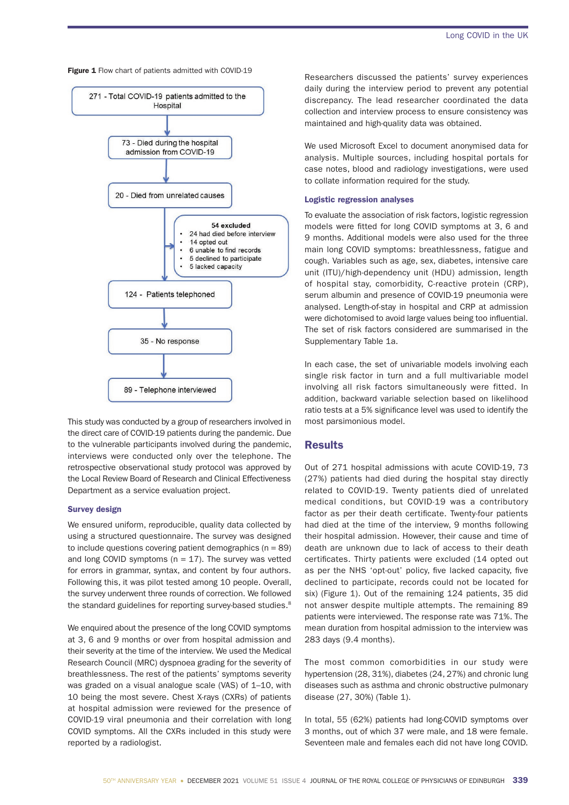Figure 1 Flow chart of patients admitted with COVID-19



This study was conducted by a group of researchers involved in the direct care of COVID-19 patients during the pandemic. Due to the vulnerable participants involved during the pandemic, interviews were conducted only over the telephone. The retrospective observational study protocol was approved by the Local Review Board of Research and Clinical Effectiveness Department as a service evaluation project.

### Survey design

We ensured uniform, reproducible, quality data collected by using a structured questionnaire. The survey was designed to include questions covering patient demographics ( $n = 89$ ) and long COVID symptoms ( $n = 17$ ). The survey was vetted for errors in grammar, syntax, and content by four authors. Following this, it was pilot tested among 10 people. Overall, the survey underwent three rounds of correction. We followed the standard guidelines for reporting survey-based studies.<sup>8</sup>

We enquired about the presence of the long COVID symptoms at 3, 6 and 9 months or over from hospital admission and their severity at the time of the interview. We used the Medical Research Council (MRC) dyspnoea grading for the severity of breathlessness. The rest of the patients' symptoms severity was graded on a visual analogue scale (VAS) of 1–10, with 10 being the most severe. Chest X-rays (CXRs) of patients at hospital admission were reviewed for the presence of COVID-19 viral pneumonia and their correlation with long COVID symptoms. All the CXRs included in this study were reported by a radiologist.

Researchers discussed the patients' survey experiences daily during the interview period to prevent any potential discrepancy. The lead researcher coordinated the data collection and interview process to ensure consistency was maintained and high-quality data was obtained.

We used Microsoft Excel to document anonymised data for analysis. Multiple sources, including hospital portals for case notes, blood and radiology investigations, were used to collate information required for the study.

### Logistic regression analyses

To evaluate the association of risk factors, logistic regression models were fitted for long COVID symptoms at 3, 6 and 9 months. Additional models were also used for the three main long COVID symptoms: breathlessness, fatigue and cough. Variables such as age, sex, diabetes, intensive care unit (ITU)/high-dependency unit (HDU) admission, length of hospital stay, comorbidity, C-reactive protein (CRP), serum albumin and presence of COVID-19 pneumonia were analysed. Length-of-stay in hospital and CRP at admission were dichotomised to avoid large values being too influential. The set of risk factors considered are summarised in the Supplementary Table 1a.

In each case, the set of univariable models involving each single risk factor in turn and a full multivariable model involving all risk factors simultaneously were fitted. In addition, backward variable selection based on likelihood ratio tests at a 5% significance level was used to identify the most parsimonious model.

## **Results**

Out of 271 hospital admissions with acute COVID-19, 73 (27%) patients had died during the hospital stay directly related to COVID-19. Twenty patients died of unrelated medical conditions, but COVID-19 was a contributory factor as per their death certificate. Twenty-four patients had died at the time of the interview, 9 months following their hospital admission. However, their cause and time of death are unknown due to lack of access to their death certificates. Thirty patients were excluded (14 opted out as per the NHS 'opt-out' policy, five lacked capacity, five declined to participate, records could not be located for six) (Figure 1). Out of the remaining 124 patients, 35 did not answer despite multiple attempts. The remaining 89 patients were interviewed. The response rate was 71%. The mean duration from hospital admission to the interview was 283 days (9.4 months).

The most common comorbidities in our study were hypertension (28, 31%), diabetes (24, 27%) and chronic lung diseases such as asthma and chronic obstructive pulmonary disease (27, 30%) (Table 1).

In total, 55 (62%) patients had long-COVID symptoms over 3 months, out of which 37 were male, and 18 were female. Seventeen male and females each did not have long COVID.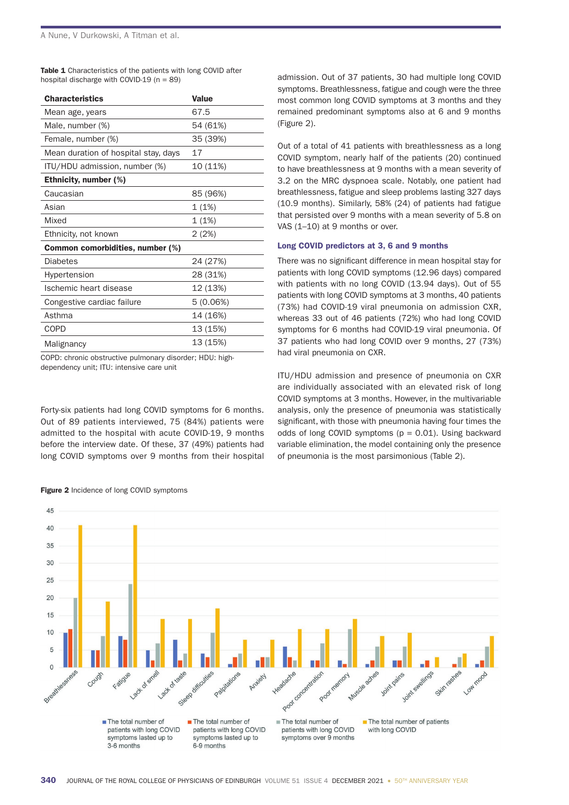Table 1 Characteristics of the patients with long COVID after hospital discharge with COVID-19  $(n = 89)$ 

| <b>Characteristics</b>               | <b>Value</b> |  |  |
|--------------------------------------|--------------|--|--|
| Mean age, years                      | 67.5         |  |  |
| Male, number (%)                     | 54 (61%)     |  |  |
| Female, number (%)                   | 35 (39%)     |  |  |
| Mean duration of hospital stay, days | 17           |  |  |
| ITU/HDU admission, number (%)        | 10 (11%)     |  |  |
| <b>Ethnicity, number (%)</b>         |              |  |  |
| Caucasian                            | 85 (96%)     |  |  |
| Asian                                | 1(1%)        |  |  |
| Mixed                                | 1(1%)        |  |  |
| Ethnicity, not known                 | 2 (2%)       |  |  |
| Common comorbidities, number (%)     |              |  |  |
| Diabetes                             | 24 (27%)     |  |  |
| Hypertension                         | 28 (31%)     |  |  |
| Ischemic heart disease               | 12 (13%)     |  |  |
| Congestive cardiac failure           | 5(0.06%)     |  |  |
| Asthma                               | 14 (16%)     |  |  |
| COPD                                 | 13 (15%)     |  |  |
| Malignancy                           | 13 (15%)     |  |  |

COPD: chronic obstructive pulmonary disorder; HDU: highdependency unit; ITU: intensive care unit

Forty-six patients had long COVID symptoms for 6 months. Out of 89 patients interviewed, 75 (84%) patients were admitted to the hospital with acute COVID-19, 9 months before the interview date. Of these, 37 (49%) patients had long COVID symptoms over 9 months from their hospital admission. Out of 37 patients, 30 had multiple long COVID symptoms. Breathlessness, fatigue and cough were the three most common long COVID symptoms at 3 months and they remained predominant symptoms also at 6 and 9 months (Figure 2).

Out of a total of 41 patients with breathlessness as a long COVID symptom, nearly half of the patients (20) continued to have breathlessness at 9 months with a mean severity of 3.2 on the MRC dyspnoea scale. Notably, one patient had breathlessness, fatigue and sleep problems lasting 327 days (10.9 months). Similarly, 58% (24) of patients had fatigue that persisted over 9 months with a mean severity of 5.8 on VAS (1–10) at 9 months or over.

## Long COVID predictors at 3, 6 and 9 months

There was no significant difference in mean hospital stay for patients with long COVID symptoms (12.96 days) compared with patients with no long COVID (13.94 days). Out of 55 patients with long COVID symptoms at 3 months, 40 patients (73%) had COVID-19 viral pneumonia on admission CXR, whereas 33 out of 46 patients (72%) who had long COVID symptoms for 6 months had COVID-19 viral pneumonia. Of 37 patients who had long COVID over 9 months, 27 (73%) had viral pneumonia on CXR.

ITU/HDU admission and presence of pneumonia on CXR are individually associated with an elevated risk of long COVID symptoms at 3 months. However, in the multivariable analysis, only the presence of pneumonia was statistically significant, with those with pneumonia having four times the odds of long COVID symptoms  $(p = 0.01)$ . Using backward variable elimination, the model containing only the presence of pneumonia is the most parsimonious (Table 2).



Figure 2 Incidence of long COVID symptoms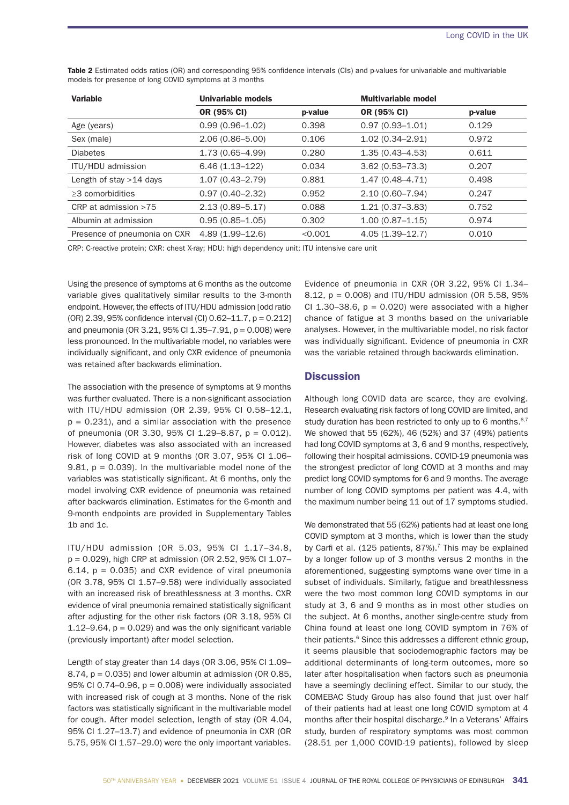| <b>Variable</b>              | <b>Univariable models</b> |         | <b>Multivariable model</b> |         |
|------------------------------|---------------------------|---------|----------------------------|---------|
|                              | OR (95% CI)               | p-value | <b>OR (95% CI)</b>         | p-value |
| Age (years)                  | $0.99(0.96 - 1.02)$       | 0.398   | $0.97(0.93 - 1.01)$        | 0.129   |
| Sex (male)                   | $2.06(0.86 - 5.00)$       | 0.106   | $1.02(0.34 - 2.91)$        | 0.972   |
| <b>Diabetes</b>              | $1.73(0.65 - 4.99)$       | 0.280   | $1.35(0.43 - 4.53)$        | 0.611   |
| ITU/HDU admission            | $6.46(1.13-122)$          | 0.034   | $3.62(0.53 - 73.3)$        | 0.207   |
| Length of stay $>14$ days    | $1.07(0.43 - 2.79)$       | 0.881   | $1.47(0.48 - 4.71)$        | 0.498   |
| $\geq$ 3 comorbidities       | $0.97(0.40 - 2.32)$       | 0.952   | $2.10(0.60 - 7.94)$        | 0.247   |
| CRP at admission $>75$       | $2.13(0.89 - 5.17)$       | 0.088   | $1.21(0.37-3.83)$          | 0.752   |
| Albumin at admission         | $0.95(0.85 - 1.05)$       | 0.302   | $1.00(0.87 - 1.15)$        | 0.974   |
| Presence of pneumonia on CXR | $4.89(1.99 - 12.6)$       | < 0.001 | $4.05(1.39 - 12.7)$        | 0.010   |

Table 2 Estimated odds ratios (OR) and corresponding 95% confidence intervals (CIs) and p-values for univariable and multivariable models for presence of long COVID symptoms at 3 months

CRP: C-reactive protein; CXR: chest X-ray; HDU: high dependency unit; ITU intensive care unit

Using the presence of symptoms at 6 months as the outcome variable gives qualitatively similar results to the 3-month endpoint. However, the effects of ITU/HDU admission [odd ratio (OR) 2.39, 95% confidence interval (CI)  $0.62-11.7$ ,  $p = 0.212$ ] and pneumonia (OR 3.21, 95% CI 1.35–7.91, p = 0.008) were less pronounced. In the multivariable model, no variables were individually significant, and only CXR evidence of pneumonia was retained after backwards elimination.

The association with the presence of symptoms at 9 months was further evaluated. There is a non-significant association with ITU/HDU admission (OR 2.39, 95% CI 0.58–12.1,  $p = 0.231$ ), and a similar association with the presence of pneumonia (OR 3.30, 95% CI 1.29–8.87, p = 0.012). However, diabetes was also associated with an increased risk of long COVID at 9 months (OR 3.07, 95% CI 1.06– 9.81,  $p = 0.039$ ). In the multivariable model none of the variables was statistically significant. At 6 months, only the model involving CXR evidence of pneumonia was retained after backwards elimination. Estimates for the 6-month and 9-month endpoints are provided in Supplementary Tables 1b and 1c.

ITU/HDU admission (OR 5.03, 95% CI 1.17–34.8, p = 0.029), high CRP at admission (OR 2.52, 95% CI 1.07– 6.14,  $p = 0.035$ ) and CXR evidence of viral pneumonia (OR 3.78, 95% CI 1.57–9.58) were individually associated with an increased risk of breathlessness at 3 months. CXR evidence of viral pneumonia remained statistically significant after adjusting for the other risk factors (OR 3.18, 95% CI 1.12–9.64,  $p = 0.029$  and was the only significant variable (previously important) after model selection.

Length of stay greater than 14 days (OR 3.06, 95% CI 1.09– 8.74,  $p = 0.035$ ) and lower albumin at admission (OR 0.85, 95% CI 0.74–0.96,  $p = 0.008$ ) were individually associated with increased risk of cough at 3 months. None of the risk factors was statistically significant in the multivariable model for cough. After model selection, length of stay (OR 4.04, 95% CI 1.27–13.7) and evidence of pneumonia in CXR (OR 5.75, 95% CI 1.57–29.0) were the only important variables.

Evidence of pneumonia in CXR (OR 3.22, 95% CI 1.34– 8.12, p = 0.008) and ITU/HDU admission (OR 5.58, 95% CI 1.30–38.6,  $p = 0.020$ ) were associated with a higher chance of fatigue at 3 months based on the univariable analyses. However, in the multivariable model, no risk factor was individually significant. Evidence of pneumonia in CXR was the variable retained through backwards elimination.

## **Discussion**

Although long COVID data are scarce, they are evolving. Research evaluating risk factors of long COVID are limited, and study duration has been restricted to only up to 6 months. $6,7$ We showed that 55 (62%), 46 (52%) and 37 (49%) patients had long COVID symptoms at 3, 6 and 9 months, respectively, following their hospital admissions. COVID-19 pneumonia was the strongest predictor of long COVID at 3 months and may predict long COVID symptoms for 6 and 9 months. The average number of long COVID symptoms per patient was 4.4, with the maximum number being 11 out of 17 symptoms studied.

We demonstrated that 55 (62%) patients had at least one long COVID symptom at 3 months, which is lower than the study by Carfi et al. (125 patients,  $87\%$ ).<sup>7</sup> This may be explained by a longer follow up of 3 months versus 2 months in the aforementioned, suggesting symptoms wane over time in a subset of individuals. Similarly, fatigue and breathlessness were the two most common long COVID symptoms in our study at 3, 6 and 9 months as in most other studies on the subject. At 6 months, another single-centre study from China found at least one long COVID symptom in 76% of their patients.<sup>6</sup> Since this addresses a different ethnic group, it seems plausible that sociodemographic factors may be additional determinants of long-term outcomes, more so later after hospitalisation when factors such as pneumonia have a seemingly declining effect. Similar to our study, the COMEBAC Study Group has also found that just over half of their patients had at least one long COVID symptom at 4 months after their hospital discharge.<sup>9</sup> In a Veterans' Affairs study, burden of respiratory symptoms was most common (28.51 per 1,000 COVID-19 patients), followed by sleep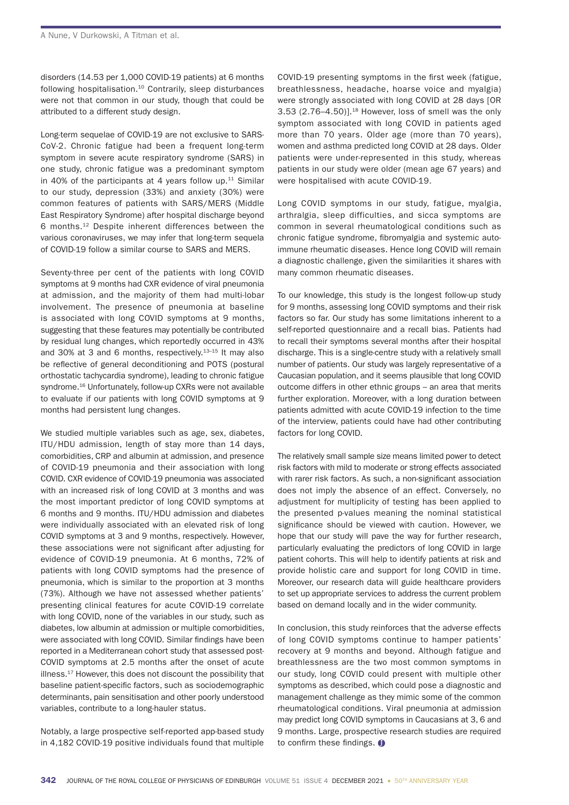disorders (14.53 per 1,000 COVID-19 patients) at 6 months following hospitalisation.10 Contrarily, sleep disturbances were not that common in our study, though that could be attributed to a different study design.

Long-term sequelae of COVID-19 are not exclusive to SARS-CoV-2. Chronic fatigue had been a frequent long-term symptom in severe acute respiratory syndrome (SARS) in one study, chronic fatigue was a predominant symptom in 40% of the participants at 4 years follow up. $11$  Similar to our study, depression (33%) and anxiety (30%) were common features of patients with SARS/MERS (Middle East Respiratory Syndrome) after hospital discharge beyond 6 months.12 Despite inherent differences between the various coronaviruses, we may infer that long-term sequela of COVID-19 follow a similar course to SARS and MERS.

Seventy-three per cent of the patients with long COVID symptoms at 9 months had CXR evidence of viral pneumonia at admission, and the majority of them had multi-lobar involvement. The presence of pneumonia at baseline is associated with long COVID symptoms at 9 months, suggesting that these features may potentially be contributed by residual lung changes, which reportedly occurred in 43% and 30% at 3 and 6 months, respectively.13–15 It may also be reflective of general deconditioning and POTS (postural orthostatic tachycardia syndrome), leading to chronic fatigue syndrome.<sup>16</sup> Unfortunately, follow-up CXRs were not available to evaluate if our patients with long COVID symptoms at 9 months had persistent lung changes.

We studied multiple variables such as age, sex, diabetes, ITU/HDU admission, length of stay more than 14 days, comorbidities, CRP and albumin at admission, and presence of COVID-19 pneumonia and their association with long COVID. CXR evidence of COVID-19 pneumonia was associated with an increased risk of long COVID at 3 months and was the most important predictor of long COVID symptoms at 6 months and 9 months. ITU/HDU admission and diabetes were individually associated with an elevated risk of long COVID symptoms at 3 and 9 months, respectively. However, these associations were not significant after adjusting for evidence of COVID-19 pneumonia. At 6 months, 72% of patients with long COVID symptoms had the presence of pneumonia, which is similar to the proportion at 3 months (73%). Although we have not assessed whether patients' presenting clinical features for acute COVID-19 correlate with long COVID, none of the variables in our study, such as diabetes, low albumin at admission or multiple comorbidities, were associated with long COVID. Similar findings have been reported in a Mediterranean cohort study that assessed post-COVID symptoms at 2.5 months after the onset of acute illness.17 However, this does not discount the possibility that baseline patient-specific factors, such as sociodemographic determinants, pain sensitisation and other poorly understood variables, contribute to a long-hauler status.

Notably, a large prospective self-reported app-based study in 4,182 COVID-19 positive individuals found that multiple

COVID-19 presenting symptoms in the first week (fatigue, breathlessness, headache, hoarse voice and myalgia) were strongly associated with long COVID at 28 days [OR  $3.53$  (2.76–4.50)].<sup>18</sup> However, loss of smell was the only symptom associated with long COVID in patients aged more than 70 years. Older age (more than 70 years), women and asthma predicted long COVID at 28 days. Older patients were under-represented in this study, whereas patients in our study were older (mean age 67 years) and were hospitalised with acute COVID-19.

Long COVID symptoms in our study, fatigue, myalgia, arthralgia, sleep difficulties, and sicca symptoms are common in several rheumatological conditions such as chronic fatigue syndrome, fibromyalgia and systemic autoimmune rheumatic diseases. Hence long COVID will remain a diagnostic challenge, given the similarities it shares with many common rheumatic diseases.

To our knowledge, this study is the longest follow-up study for 9 months, assessing long COVID symptoms and their risk factors so far. Our study has some limitations inherent to a self-reported questionnaire and a recall bias. Patients had to recall their symptoms several months after their hospital discharge. This is a single-centre study with a relatively small number of patients. Our study was largely representative of a Caucasian population, and it seems plausible that long COVID outcome differs in other ethnic groups – an area that merits further exploration. Moreover, with a long duration between patients admitted with acute COVID-19 infection to the time of the interview, patients could have had other contributing factors for long COVID.

The relatively small sample size means limited power to detect risk factors with mild to moderate or strong effects associated with rarer risk factors. As such, a non-significant association does not imply the absence of an effect. Conversely, no adjustment for multiplicity of testing has been applied to the presented p-values meaning the nominal statistical significance should be viewed with caution. However, we hope that our study will pave the way for further research, particularly evaluating the predictors of long COVID in large patient cohorts. This will help to identify patients at risk and provide holistic care and support for long COVID in time. Moreover, our research data will guide healthcare providers to set up appropriate services to address the current problem based on demand locally and in the wider community.

In conclusion, this study reinforces that the adverse effects of long COVID symptoms continue to hamper patients' recovery at 9 months and beyond. Although fatigue and breathlessness are the two most common symptoms in our study, long COVID could present with multiple other symptoms as described, which could pose a diagnostic and management challenge as they mimic some of the common rheumatological conditions. Viral pneumonia at admission may predict long COVID symptoms in Caucasians at 3, 6 and 9 months. Large, prospective research studies are required to confirm these findings.  $\bigcirc$